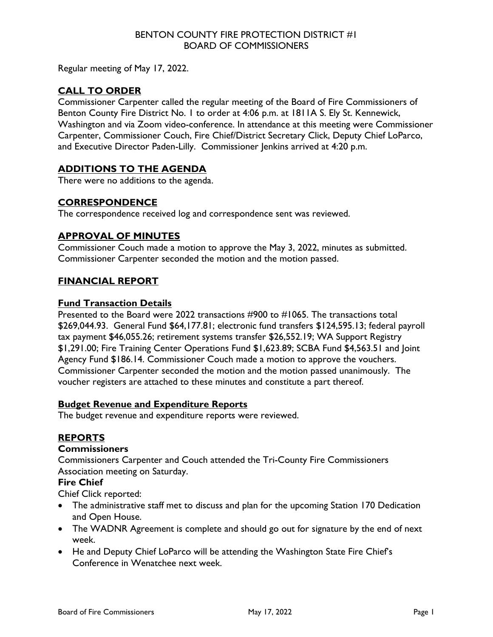## BENTON COUNTY FIRE PROTECTION DISTRICT #1 BOARD OF COMMISSIONERS

Regular meeting of May 17, 2022.

# **CALL TO ORDER**

Commissioner Carpenter called the regular meeting of the Board of Fire Commissioners of Benton County Fire District No. 1 to order at 4:06 p.m. at 1811A S. Ely St. Kennewick, Washington and via Zoom video-conference. In attendance at this meeting were Commissioner Carpenter, Commissioner Couch, Fire Chief/District Secretary Click, Deputy Chief LoParco, and Executive Director Paden-Lilly. Commissioner Jenkins arrived at 4:20 p.m.

# **ADDITIONS TO THE AGENDA**

There were no additions to the agenda.

## **CORRESPONDENCE**

The correspondence received log and correspondence sent was reviewed.

## **APPROVAL OF MINUTES**

Commissioner Couch made a motion to approve the May 3, 2022, minutes as submitted. Commissioner Carpenter seconded the motion and the motion passed.

## **FINANCIAL REPORT**

## **Fund Transaction Details**

Presented to the Board were 2022 transactions #900 to #1065. The transactions total \$269,044.93. General Fund \$64,177.81; electronic fund transfers \$124,595.13; federal payroll tax payment \$46,055.26; retirement systems transfer \$26,552.19; WA Support Registry \$1,291.00; Fire Training Center Operations Fund \$1,623.89; SCBA Fund \$4,563.51 and Joint Agency Fund \$186.14. Commissioner Couch made a motion to approve the vouchers. Commissioner Carpenter seconded the motion and the motion passed unanimously. The voucher registers are attached to these minutes and constitute a part thereof.

### **Budget Revenue and Expenditure Reports**

The budget revenue and expenditure reports were reviewed.

## **REPORTS**

### **Commissioners**

Commissioners Carpenter and Couch attended the Tri-County Fire Commissioners Association meeting on Saturday.

# **Fire Chief**

Chief Click reported:

- The administrative staff met to discuss and plan for the upcoming Station 170 Dedication and Open House.
- The WADNR Agreement is complete and should go out for signature by the end of next week.
- He and Deputy Chief LoParco will be attending the Washington State Fire Chief's Conference in Wenatchee next week.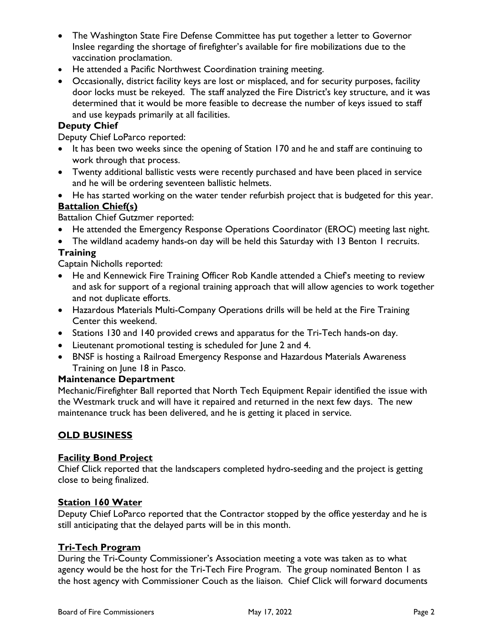- The Washington State Fire Defense Committee has put together a letter to Governor Inslee regarding the shortage of firefighter's available for fire mobilizations due to the vaccination proclamation.
- He attended a Pacific Northwest Coordination training meeting.
- Occasionally, district facility keys are lost or misplaced, and for security purposes, facility door locks must be rekeyed. The staff analyzed the Fire District's key structure, and it was determined that it would be more feasible to decrease the number of keys issued to staff and use keypads primarily at all facilities.

## **Deputy Chief**

Deputy Chief LoParco reported:

- It has been two weeks since the opening of Station 170 and he and staff are continuing to work through that process.
- Twenty additional ballistic vests were recently purchased and have been placed in service and he will be ordering seventeen ballistic helmets.
- He has started working on the water tender refurbish project that is budgeted for this year. **Battalion Chief(s)**

Battalion Chief Gutzmer reported:

- He attended the Emergency Response Operations Coordinator (EROC) meeting last night.
- The wildland academy hands-on day will be held this Saturday with 13 Benton I recruits.

## **Training**

Captain Nicholls reported:

- He and Kennewick Fire Training Officer Rob Kandle attended a Chief's meeting to review and ask for support of a regional training approach that will allow agencies to work together and not duplicate efforts.
- Hazardous Materials Multi-Company Operations drills will be held at the Fire Training Center this weekend.
- Stations 130 and 140 provided crews and apparatus for the Tri-Tech hands-on day.
- Lieutenant promotional testing is scheduled for June 2 and 4.
- BNSF is hosting a Railroad Emergency Response and Hazardous Materials Awareness Training on June 18 in Pasco.

### **Maintenance Department**

Mechanic/Firefighter Ball reported that North Tech Equipment Repair identified the issue with the Westmark truck and will have it repaired and returned in the next few days. The new maintenance truck has been delivered, and he is getting it placed in service.

## **OLD BUSINESS**

### **Facility Bond Project**

Chief Click reported that the landscapers completed hydro-seeding and the project is getting close to being finalized.

### **Station 160 Water**

Deputy Chief LoParco reported that the Contractor stopped by the office yesterday and he is still anticipating that the delayed parts will be in this month.

### **Tri-Tech Program**

During the Tri-County Commissioner's Association meeting a vote was taken as to what agency would be the host for the Tri-Tech Fire Program. The group nominated Benton 1 as the host agency with Commissioner Couch as the liaison. Chief Click will forward documents